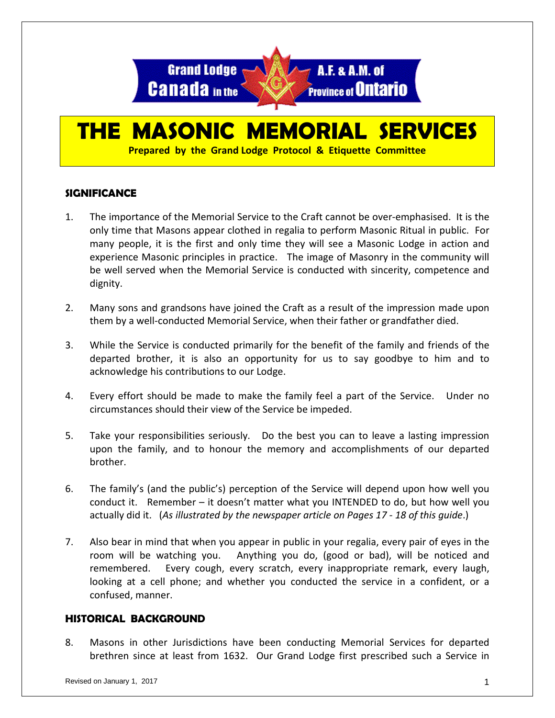

# **THE MASONIC MEMORIAL SERVICES**

**Prepared by the Grand Lodge Protocol & Etiquette Committee**

#### **SIGNIFICANCE**

- 1. The importance of the Memorial Service to the Craft cannot be over-emphasised. It is the only time that Masons appear clothed in regalia to perform Masonic Ritual in public. For many people, it is the first and only time they will see a Masonic Lodge in action and experience Masonic principles in practice. The image of Masonry in the community will be well served when the Memorial Service is conducted with sincerity, competence and dignity.
- 2. Many sons and grandsons have joined the Craft as a result of the impression made upon them by a well-conducted Memorial Service, when their father or grandfather died.
- 3. While the Service is conducted primarily for the benefit of the family and friends of the departed brother, it is also an opportunity for us to say goodbye to him and to acknowledge his contributions to our Lodge.
- 4. Every effort should be made to make the family feel a part of the Service. Under no circumstances should their view of the Service be impeded.
- 5. Take your responsibilities seriously. Do the best you can to leave a lasting impression upon the family, and to honour the memory and accomplishments of our departed brother.
- 6. The family's (and the public's) perception of the Service will depend upon how well you conduct it. Remember – it doesn't matter what you INTENDED to do, but how well you actually did it. (*As illustrated by the newspaper article on Pages 17 - 18 of this guide*.)
- 7. Also bear in mind that when you appear in public in your regalia, every pair of eyes in the room will be watching you. Anything you do, (good or bad), will be noticed and remembered. Every cough, every scratch, every inappropriate remark, every laugh, looking at a cell phone; and whether you conducted the service in a confident, or a confused, manner.

#### **HISTORICAL BACKGROUND**

8. Masons in other Jurisdictions have been conducting Memorial Services for departed brethren since at least from 1632. Our Grand Lodge first prescribed such a Service in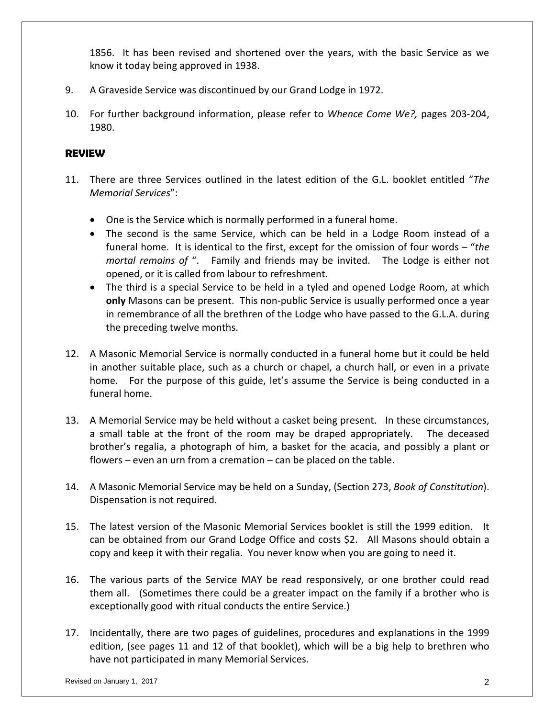1856. It has been revised and shortened over the years, with the basic Service as we know it today being approved in 1938.

- 9. A Graveside Service was discontinued by our Grand Lodge in 1972.
- 10. For further background information, please refer to *Whence Come We?,* pages 203-204, 1980.

#### **REVIEW**

- 11. There are three Services outlined in the latest edition of the G.L. booklet entitled "*The Memorial Services*":
	- One is the Service which is normally performed in a funeral home.
	- The second is the same Service, which can be held in a Lodge Room instead of a funeral home. It is identical to the first, except for the omission of four words – "*the mortal remains of* ". Family and friends may be invited. The Lodge is either not opened, or it is called from labour to refreshment.
	- The third is a special Service to be held in a tyled and opened Lodge Room, at which **only** Masons can be present. This non-public Service is usually performed once a year in remembrance of all the brethren of the Lodge who have passed to the G.L.A. during the preceding twelve months.
- 12. A Masonic Memorial Service is normally conducted in a funeral home but it could be held in another suitable place, such as a church or chapel, a church hall, or even in a private home. For the purpose of this guide, let's assume the Service is being conducted in a funeral home.
- 13. A Memorial Service may be held without a casket being present. In these circumstances, a small table at the front of the room may be draped appropriately. The deceased brother's regalia, a photograph of him, a basket for the acacia, and possibly a plant or flowers – even an urn from a cremation – can be placed on the table.
- 14. A Masonic Memorial Service may be held on a Sunday, (Section 273, *Book of Constitution*). Dispensation is not required.
- 15. The latest version of the Masonic Memorial Services booklet is still the 1999 edition. It can be obtained from our Grand Lodge Office and costs \$2. All Masons should obtain a copy and keep it with their regalia. You never know when you are going to need it.
- 16. The various parts of the Service MAY be read responsively, or one brother could read them all. (Sometimes there could be a greater impact on the family if a brother who is exceptionally good with ritual conducts the entire Service.)
- 17. Incidentally, there are two pages of guidelines, procedures and explanations in the 1999 edition, (see pages 11 and 12 of that booklet), which will be a big help to brethren who have not participated in many Memorial Services.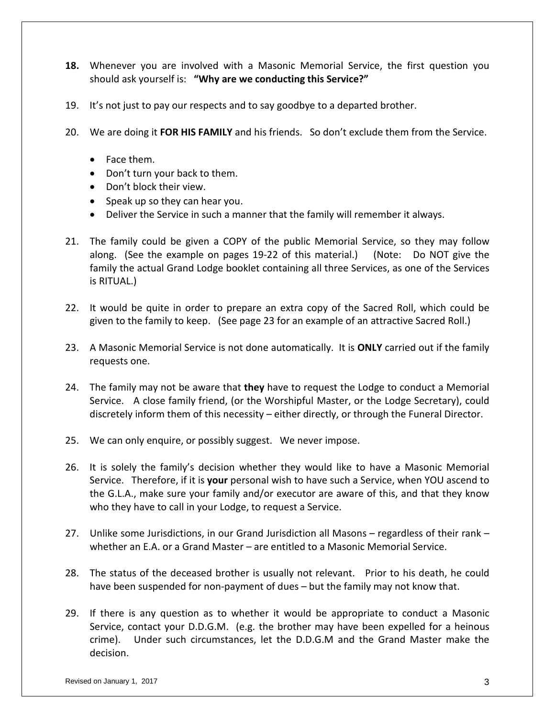- **18.** Whenever you are involved with a Masonic Memorial Service, the first question you should ask yourself is: **"Why are we conducting this Service?"**
- 19. It's not just to pay our respects and to say goodbye to a departed brother.
- 20. We are doing it **FOR HIS FAMILY** and his friends. So don't exclude them from the Service.
	- Face them.
	- Don't turn your back to them.
	- Don't block their view.
	- Speak up so they can hear you.
	- Deliver the Service in such a manner that the family will remember it always.
- 21. The family could be given a COPY of the public Memorial Service, so they may follow along. (See the example on pages 19-22 of this material.) (Note: Do NOT give the family the actual Grand Lodge booklet containing all three Services, as one of the Services is RITUAL.)
- 22. It would be quite in order to prepare an extra copy of the Sacred Roll, which could be given to the family to keep. (See page 23 for an example of an attractive Sacred Roll.)
- 23. A Masonic Memorial Service is not done automatically. It is **ONLY** carried out if the family requests one.
- 24. The family may not be aware that **they** have to request the Lodge to conduct a Memorial Service. A close family friend, (or the Worshipful Master, or the Lodge Secretary), could discretely inform them of this necessity – either directly, or through the Funeral Director.
- 25. We can only enquire, or possibly suggest. We never impose.
- 26. It is solely the family's decision whether they would like to have a Masonic Memorial Service. Therefore, if it is **your** personal wish to have such a Service, when YOU ascend to the G.L.A., make sure your family and/or executor are aware of this, and that they know who they have to call in your Lodge, to request a Service.
- 27. Unlike some Jurisdictions, in our Grand Jurisdiction all Masons regardless of their rank whether an E.A. or a Grand Master – are entitled to a Masonic Memorial Service.
- 28. The status of the deceased brother is usually not relevant. Prior to his death, he could have been suspended for non-payment of dues – but the family may not know that.
- 29. If there is any question as to whether it would be appropriate to conduct a Masonic Service, contact your D.D.G.M. (e.g. the brother may have been expelled for a heinous crime). Under such circumstances, let the D.D.G.M and the Grand Master make the decision.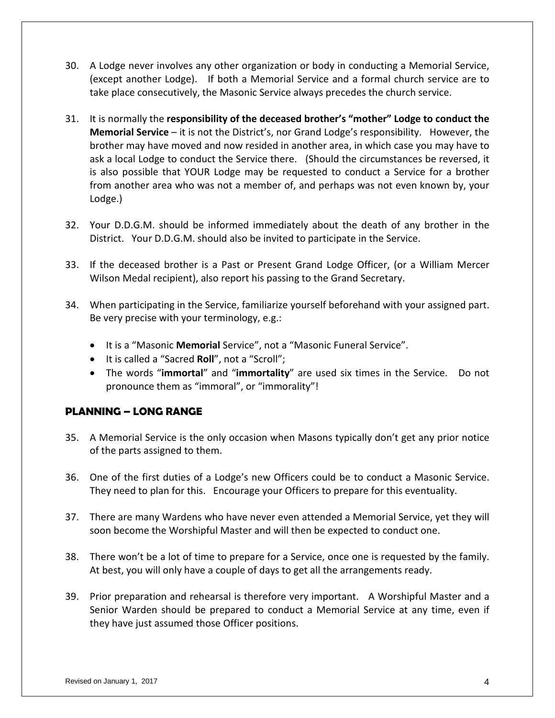- 30. A Lodge never involves any other organization or body in conducting a Memorial Service, (except another Lodge). If both a Memorial Service and a formal church service are to take place consecutively, the Masonic Service always precedes the church service.
- 31. It is normally the **responsibility of the deceased brother's "mother" Lodge to conduct the Memorial Service** – it is not the District's, nor Grand Lodge's responsibility. However, the brother may have moved and now resided in another area, in which case you may have to ask a local Lodge to conduct the Service there. (Should the circumstances be reversed, it is also possible that YOUR Lodge may be requested to conduct a Service for a brother from another area who was not a member of, and perhaps was not even known by, your Lodge.)
- 32. Your D.D.G.M. should be informed immediately about the death of any brother in the District. Your D.D.G.M. should also be invited to participate in the Service.
- 33. If the deceased brother is a Past or Present Grand Lodge Officer, (or a William Mercer Wilson Medal recipient), also report his passing to the Grand Secretary.
- 34. When participating in the Service, familiarize yourself beforehand with your assigned part. Be very precise with your terminology, e.g.:
	- It is a "Masonic **Memorial** Service", not a "Masonic Funeral Service".
	- It is called a "Sacred **Roll**", not a "Scroll";
	- The words "**immortal**" and "**immortality**" are used six times in the Service. Do not pronounce them as "immoral", or "immorality"!

#### **PLANNING – LONG RANGE**

- 35. A Memorial Service is the only occasion when Masons typically don't get any prior notice of the parts assigned to them.
- 36. One of the first duties of a Lodge's new Officers could be to conduct a Masonic Service. They need to plan for this. Encourage your Officers to prepare for this eventuality.
- 37. There are many Wardens who have never even attended a Memorial Service, yet they will soon become the Worshipful Master and will then be expected to conduct one.
- 38. There won't be a lot of time to prepare for a Service, once one is requested by the family. At best, you will only have a couple of days to get all the arrangements ready.
- 39. Prior preparation and rehearsal is therefore very important. A Worshipful Master and a Senior Warden should be prepared to conduct a Memorial Service at any time, even if they have just assumed those Officer positions.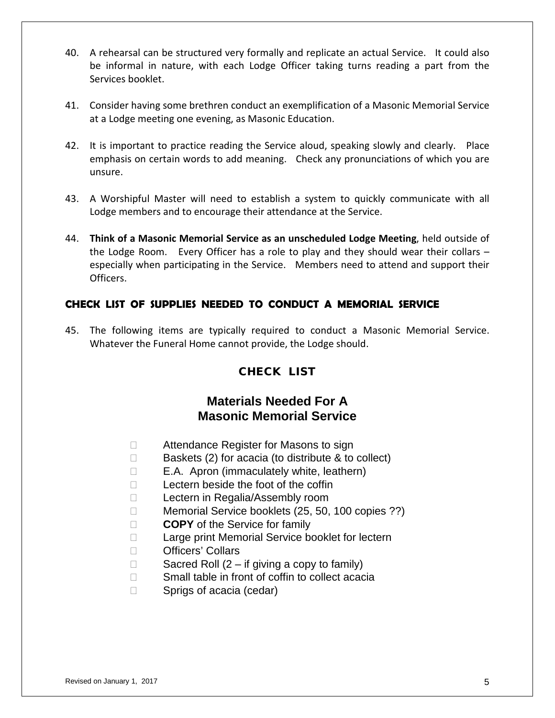- 40. A rehearsal can be structured very formally and replicate an actual Service. It could also be informal in nature, with each Lodge Officer taking turns reading a part from the Services booklet.
- 41. Consider having some brethren conduct an exemplification of a Masonic Memorial Service at a Lodge meeting one evening, as Masonic Education.
- 42. It is important to practice reading the Service aloud, speaking slowly and clearly. Place emphasis on certain words to add meaning. Check any pronunciations of which you are unsure.
- 43. A Worshipful Master will need to establish a system to quickly communicate with all Lodge members and to encourage their attendance at the Service.
- 44. **Think of a Masonic Memorial Service as an unscheduled Lodge Meeting**, held outside of the Lodge Room. Every Officer has a role to play and they should wear their collars – especially when participating in the Service. Members need to attend and support their Officers.

#### **CHECK LIST OF SUPPLIES NEEDED TO CONDUCT A MEMORIAL SERVICE**

45. The following items are typically required to conduct a Masonic Memorial Service. Whatever the Funeral Home cannot provide, the Lodge should.

#### CHECK LIST

#### **Materials Needed For A Masonic Memorial Service**

- □ Attendance Register for Masons to sign
- $\Box$  Baskets (2) for acacia (to distribute & to collect)
- $\Box$  E.A. Apron (immaculately white, leathern)
- $\Box$  Lectern beside the foot of the coffin
- □ Lectern in Regalia/Assembly room
- □ Memorial Service booklets (25, 50, 100 copies ??)
- **COPY** of the Service for family
- □ Large print Memorial Service booklet for lectern
- □ Officers' Collars
- $\Box$  Sacred Roll (2 if giving a copy to family)
- $\Box$  Small table in front of coffin to collect acacia
- □ Sprigs of acacia (cedar)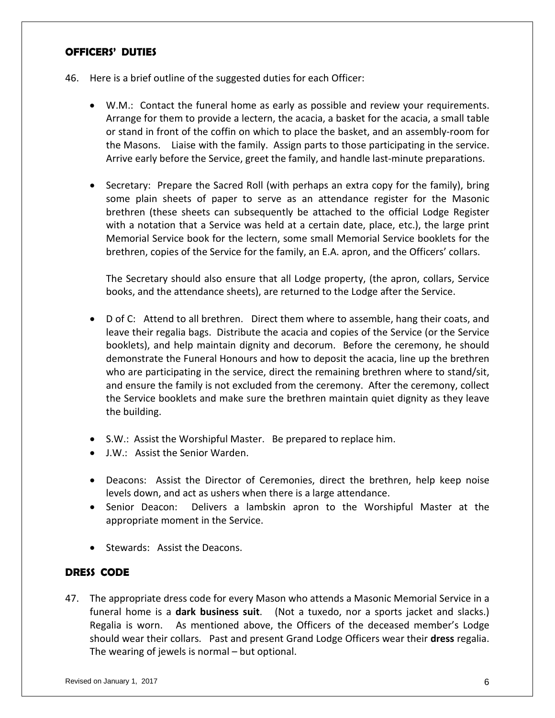#### **OFFICERS' DUTIES**

- 46. Here is a brief outline of the suggested duties for each Officer:
	- W.M.: Contact the funeral home as early as possible and review your requirements. Arrange for them to provide a lectern, the acacia, a basket for the acacia, a small table or stand in front of the coffin on which to place the basket, and an assembly-room for the Masons. Liaise with the family. Assign parts to those participating in the service. Arrive early before the Service, greet the family, and handle last-minute preparations.
	- Secretary: Prepare the Sacred Roll (with perhaps an extra copy for the family), bring some plain sheets of paper to serve as an attendance register for the Masonic brethren (these sheets can subsequently be attached to the official Lodge Register with a notation that a Service was held at a certain date, place, etc.), the large print Memorial Service book for the lectern, some small Memorial Service booklets for the brethren, copies of the Service for the family, an E.A. apron, and the Officers' collars.

The Secretary should also ensure that all Lodge property, (the apron, collars, Service books, and the attendance sheets), are returned to the Lodge after the Service.

- D of C: Attend to all brethren. Direct them where to assemble, hang their coats, and leave their regalia bags. Distribute the acacia and copies of the Service (or the Service booklets), and help maintain dignity and decorum. Before the ceremony, he should demonstrate the Funeral Honours and how to deposit the acacia, line up the brethren who are participating in the service, direct the remaining brethren where to stand/sit, and ensure the family is not excluded from the ceremony. After the ceremony, collect the Service booklets and make sure the brethren maintain quiet dignity as they leave the building.
- S.W.: Assist the Worshipful Master. Be prepared to replace him.
- J.W.: Assist the Senior Warden.
- Deacons: Assist the Director of Ceremonies, direct the brethren, help keep noise levels down, and act as ushers when there is a large attendance.
- Senior Deacon: Delivers a lambskin apron to the Worshipful Master at the appropriate moment in the Service.
- Stewards: Assist the Deacons.

#### **DRESS CODE**

47. The appropriate dress code for every Mason who attends a Masonic Memorial Service in a funeral home is a **dark business suit**. (Not a tuxedo, nor a sports jacket and slacks.) Regalia is worn. As mentioned above, the Officers of the deceased member's Lodge should wear their collars. Past and present Grand Lodge Officers wear their **dress** regalia. The wearing of jewels is normal – but optional.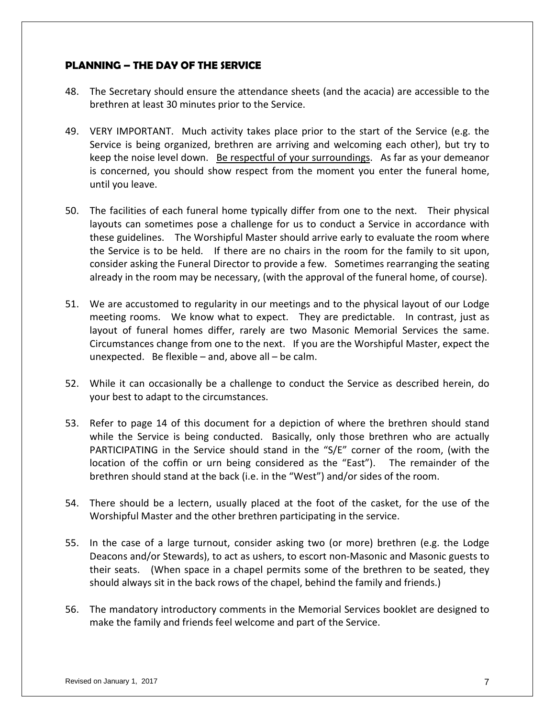#### **PLANNING – THE DAY OF THE SERVICE**

- 48. The Secretary should ensure the attendance sheets (and the acacia) are accessible to the brethren at least 30 minutes prior to the Service.
- 49. VERY IMPORTANT. Much activity takes place prior to the start of the Service (e.g. the Service is being organized, brethren are arriving and welcoming each other), but try to keep the noise level down. Be respectful of your surroundings. As far as your demeanor is concerned, you should show respect from the moment you enter the funeral home, until you leave.
- 50. The facilities of each funeral home typically differ from one to the next. Their physical layouts can sometimes pose a challenge for us to conduct a Service in accordance with these guidelines. The Worshipful Master should arrive early to evaluate the room where the Service is to be held. If there are no chairs in the room for the family to sit upon, consider asking the Funeral Director to provide a few. Sometimes rearranging the seating already in the room may be necessary, (with the approval of the funeral home, of course).
- 51. We are accustomed to regularity in our meetings and to the physical layout of our Lodge meeting rooms. We know what to expect. They are predictable. In contrast, just as layout of funeral homes differ, rarely are two Masonic Memorial Services the same. Circumstances change from one to the next. If you are the Worshipful Master, expect the unexpected. Be flexible  $-$  and, above all  $-$  be calm.
- 52. While it can occasionally be a challenge to conduct the Service as described herein, do your best to adapt to the circumstances.
- 53. Refer to page 14 of this document for a depiction of where the brethren should stand while the Service is being conducted. Basically, only those brethren who are actually PARTICIPATING in the Service should stand in the "S/E" corner of the room, (with the location of the coffin or urn being considered as the "East"). The remainder of the brethren should stand at the back (i.e. in the "West") and/or sides of the room.
- 54. There should be a lectern, usually placed at the foot of the casket, for the use of the Worshipful Master and the other brethren participating in the service.
- 55. In the case of a large turnout, consider asking two (or more) brethren (e.g. the Lodge Deacons and/or Stewards), to act as ushers, to escort non-Masonic and Masonic guests to their seats. (When space in a chapel permits some of the brethren to be seated, they should always sit in the back rows of the chapel, behind the family and friends.)
- 56. The mandatory introductory comments in the Memorial Services booklet are designed to make the family and friends feel welcome and part of the Service.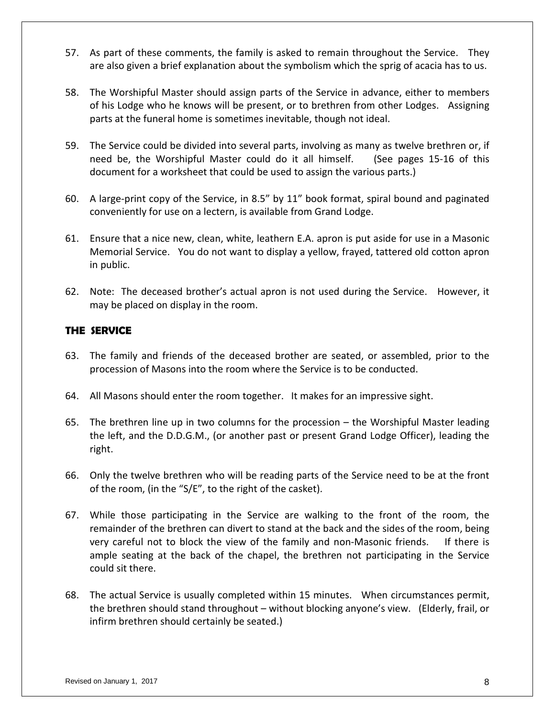- 57. As part of these comments, the family is asked to remain throughout the Service. They are also given a brief explanation about the symbolism which the sprig of acacia has to us.
- 58. The Worshipful Master should assign parts of the Service in advance, either to members of his Lodge who he knows will be present, or to brethren from other Lodges. Assigning parts at the funeral home is sometimes inevitable, though not ideal.
- 59. The Service could be divided into several parts, involving as many as twelve brethren or, if need be, the Worshipful Master could do it all himself. (See pages 15-16 of this document for a worksheet that could be used to assign the various parts.)
- 60. A large-print copy of the Service, in 8.5" by 11" book format, spiral bound and paginated conveniently for use on a lectern, is available from Grand Lodge.
- 61. Ensure that a nice new, clean, white, leathern E.A. apron is put aside for use in a Masonic Memorial Service. You do not want to display a yellow, frayed, tattered old cotton apron in public.
- 62. Note: The deceased brother's actual apron is not used during the Service. However, it may be placed on display in the room.

#### **THE SERVICE**

- 63. The family and friends of the deceased brother are seated, or assembled, prior to the procession of Masons into the room where the Service is to be conducted.
- 64. All Masons should enter the room together. It makes for an impressive sight.
- 65. The brethren line up in two columns for the procession the Worshipful Master leading the left, and the D.D.G.M., (or another past or present Grand Lodge Officer), leading the right.
- 66. Only the twelve brethren who will be reading parts of the Service need to be at the front of the room, (in the "S/E", to the right of the casket).
- 67. While those participating in the Service are walking to the front of the room, the remainder of the brethren can divert to stand at the back and the sides of the room, being very careful not to block the view of the family and non-Masonic friends. If there is ample seating at the back of the chapel, the brethren not participating in the Service could sit there.
- 68. The actual Service is usually completed within 15 minutes. When circumstances permit, the brethren should stand throughout – without blocking anyone's view. (Elderly, frail, or infirm brethren should certainly be seated.)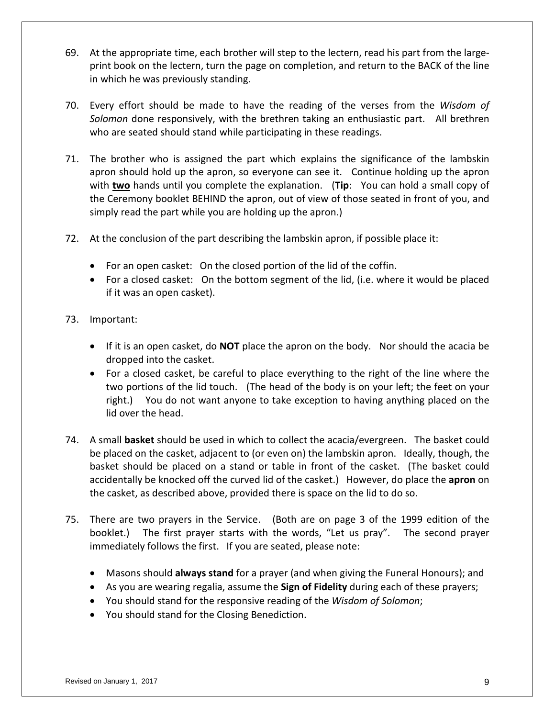- 69. At the appropriate time, each brother will step to the lectern, read his part from the largeprint book on the lectern, turn the page on completion, and return to the BACK of the line in which he was previously standing.
- 70. Every effort should be made to have the reading of the verses from the *Wisdom of Solomon* done responsively, with the brethren taking an enthusiastic part. All brethren who are seated should stand while participating in these readings.
- 71. The brother who is assigned the part which explains the significance of the lambskin apron should hold up the apron, so everyone can see it. Continue holding up the apron with **two** hands until you complete the explanation. (**Tip**: You can hold a small copy of the Ceremony booklet BEHIND the apron, out of view of those seated in front of you, and simply read the part while you are holding up the apron.)
- 72. At the conclusion of the part describing the lambskin apron, if possible place it:
	- For an open casket: On the closed portion of the lid of the coffin.
	- For a closed casket: On the bottom segment of the lid, (i.e. where it would be placed if it was an open casket).
- 73. Important:
	- If it is an open casket, do **NOT** place the apron on the body. Nor should the acacia be dropped into the casket.
	- For a closed casket, be careful to place everything to the right of the line where the two portions of the lid touch. (The head of the body is on your left; the feet on your right.) You do not want anyone to take exception to having anything placed on the lid over the head.
- 74. A small **basket** should be used in which to collect the acacia/evergreen. The basket could be placed on the casket, adjacent to (or even on) the lambskin apron. Ideally, though, the basket should be placed on a stand or table in front of the casket. (The basket could accidentally be knocked off the curved lid of the casket.) However, do place the **apron** on the casket, as described above, provided there is space on the lid to do so.
- 75. There are two prayers in the Service. (Both are on page 3 of the 1999 edition of the booklet.) The first prayer starts with the words, "Let us pray". The second prayer immediately follows the first. If you are seated, please note:
	- Masons should **always stand** for a prayer (and when giving the Funeral Honours); and
	- As you are wearing regalia, assume the **Sign of Fidelity** during each of these prayers;
	- You should stand for the responsive reading of the *Wisdom of Solomon*;
	- You should stand for the Closing Benediction.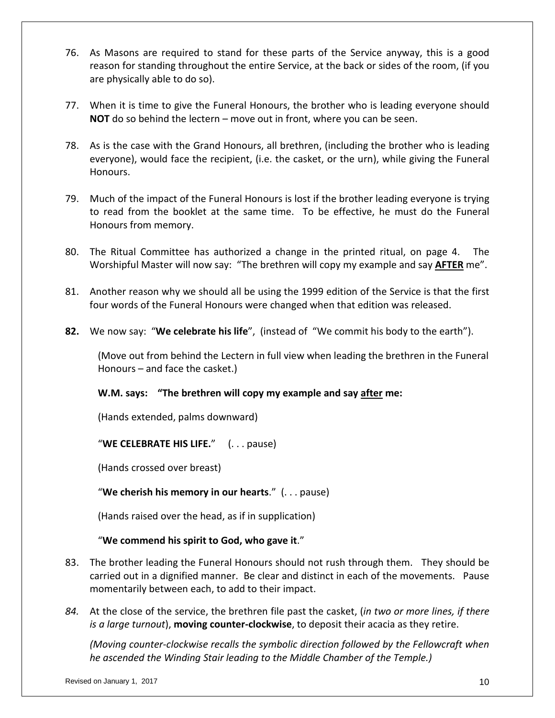- 76. As Masons are required to stand for these parts of the Service anyway, this is a good reason for standing throughout the entire Service, at the back or sides of the room, (if you are physically able to do so).
- 77. When it is time to give the Funeral Honours, the brother who is leading everyone should **NOT** do so behind the lectern – move out in front, where you can be seen.
- 78. As is the case with the Grand Honours, all brethren, (including the brother who is leading everyone), would face the recipient, (i.e. the casket, or the urn), while giving the Funeral Honours.
- 79. Much of the impact of the Funeral Honours is lost if the brother leading everyone is trying to read from the booklet at the same time. To be effective, he must do the Funeral Honours from memory.
- 80. The Ritual Committee has authorized a change in the printed ritual, on page 4. The Worshipful Master will now say: "The brethren will copy my example and say **AFTER** me".
- 81. Another reason why we should all be using the 1999 edition of the Service is that the first four words of the Funeral Honours were changed when that edition was released.
- **82.** We now say: "**We celebrate his life**", (instead of "We commit his body to the earth").

 (Move out from behind the Lectern in full view when leading the brethren in the Funeral Honours – and face the casket.)

#### **W.M. says: "The brethren will copy my example and say after me:**

(Hands extended, palms downward)

"**WE CELEBRATE HIS LIFE.**" (. . . pause)

(Hands crossed over breast)

"**We cherish his memory in our hearts**." (. . . pause)

(Hands raised over the head, as if in supplication)

"**We commend his spirit to God, who gave it**."

- 83. The brother leading the Funeral Honours should not rush through them. They should be carried out in a dignified manner. Be clear and distinct in each of the movements. Pause momentarily between each, to add to their impact.
- *84.* At the close of the service, the brethren file past the casket, (*in two or more lines, if there is a large turnout*), **moving counter-clockwise**, to deposit their acacia as they retire.

*(Moving counter-clockwise recalls the symbolic direction followed by the Fellowcraft when he ascended the Winding Stair leading to the Middle Chamber of the Temple.)*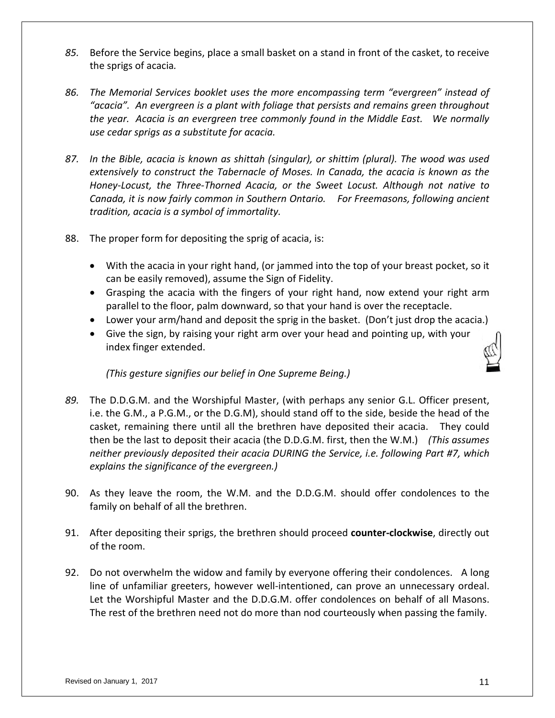- *85.* Before the Service begins, place a small basket on a stand in front of the casket, to receive the sprigs of acacia*.*
- *86. The Memorial Services booklet uses the more encompassing term "evergreen" instead of "acacia". An evergreen is a plant with foliage that persists and remains green throughout the year. Acacia is an evergreen tree commonly found in the Middle East. We normally use cedar sprigs as a substitute for acacia.*
- *87. In the Bible, acacia is known as shittah (singular), or shittim (plural). The wood was used extensively to construct the Tabernacle of Moses. In Canada, the acacia is known as the Honey-Locust, the Three-Thorned Acacia, or the Sweet Locust. Although not native to Canada, it is now fairly common in Southern Ontario. For Freemasons, following ancient tradition, acacia is a symbol of immortality.*
- 88. The proper form for depositing the sprig of acacia, is:
	- With the acacia in your right hand, (or jammed into the top of your breast pocket, so it can be easily removed), assume the Sign of Fidelity.
	- Grasping the acacia with the fingers of your right hand, now extend your right arm parallel to the floor, palm downward, so that your hand is over the receptacle.
	- Lower your arm/hand and deposit the sprig in the basket. (Don't just drop the acacia.)
	- Give the sign, by raising your right arm over your head and pointing up, with your index finger extended.

*(This gesture signifies our belief in One Supreme Being.)*

- *89.* The D.D.G.M. and the Worshipful Master, (with perhaps any senior G.L. Officer present, i.e. the G.M., a P.G.M., or the D.G.M), should stand off to the side, beside the head of the casket, remaining there until all the brethren have deposited their acacia. They could then be the last to deposit their acacia (the D.D.G.M. first, then the W.M.) *(This assumes neither previously deposited their acacia DURING the Service, i.e. following Part #7, which explains the significance of the evergreen.)*
- 90. As they leave the room, the W.M. and the D.D.G.M. should offer condolences to the family on behalf of all the brethren.
- 91. After depositing their sprigs, the brethren should proceed **counter-clockwise**, directly out of the room.
- 92. Do not overwhelm the widow and family by everyone offering their condolences. A long line of unfamiliar greeters, however well-intentioned, can prove an unnecessary ordeal. Let the Worshipful Master and the D.D.G.M. offer condolences on behalf of all Masons. The rest of the brethren need not do more than nod courteously when passing the family.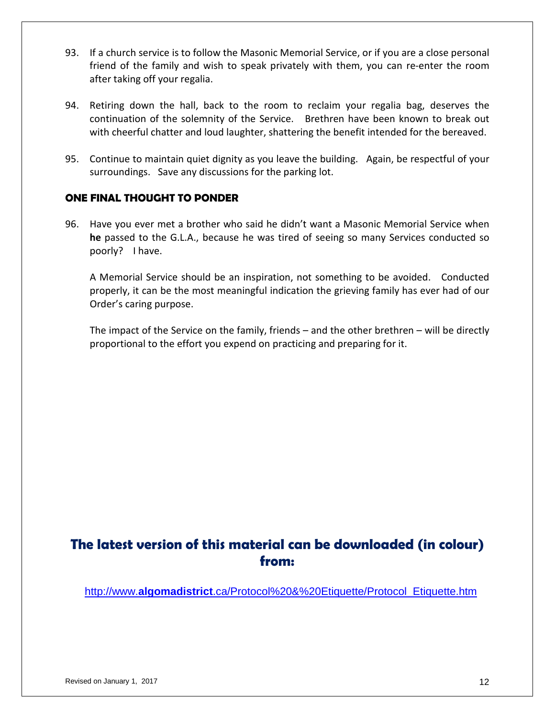- 93. If a church service is to follow the Masonic Memorial Service, or if you are a close personal friend of the family and wish to speak privately with them, you can re-enter the room after taking off your regalia.
- 94. Retiring down the hall, back to the room to reclaim your regalia bag, deserves the continuation of the solemnity of the Service. Brethren have been known to break out with cheerful chatter and loud laughter, shattering the benefit intended for the bereaved.
- 95. Continue to maintain quiet dignity as you leave the building. Again, be respectful of your surroundings. Save any discussions for the parking lot.

#### **ONE FINAL THOUGHT TO PONDER**

96. Have you ever met a brother who said he didn't want a Masonic Memorial Service when **he** passed to the G.L.A., because he was tired of seeing so many Services conducted so poorly? I have.

A Memorial Service should be an inspiration, not something to be avoided. Conducted properly, it can be the most meaningful indication the grieving family has ever had of our Order's caring purpose.

The impact of the Service on the family, friends – and the other brethren – will be directly proportional to the effort you expend on practicing and preparing for it.

### **The latest version of this material can be downloaded (in colour) from:**

http://www.**algomadistrict**[.ca/Protocol%20&%20Etiquette/Protocol\\_Etiquette.htm](http://www.algomadistrict.ca/Protocol%20&%20Etiquette/Protocol_Etiquette.htm)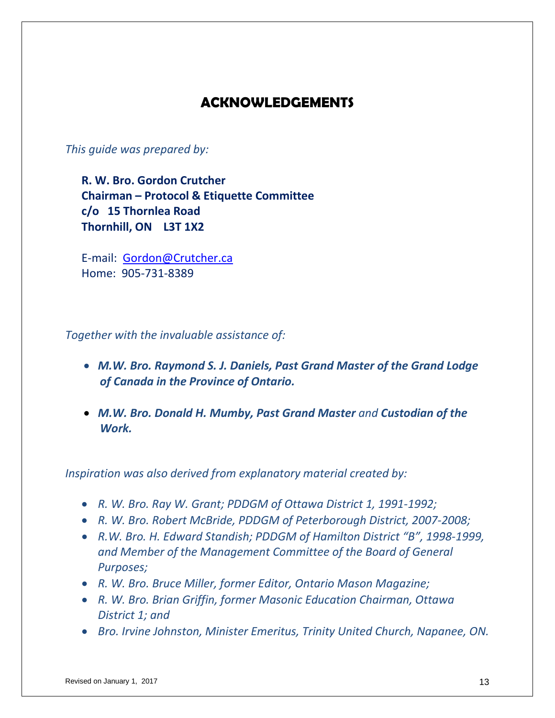## **ACKNOWLEDGEMENTS**

*This guide was prepared by:*

**R. W. Bro. Gordon Crutcher Chairman – Protocol & Etiquette Committee c/o 15 Thornlea Road Thornhill, ON L3T 1X2**

E-mail: [Gordon@Crutcher.ca](mailto:Gordon@Crutcher.ca) Home: 905-731-8389

*Together with the invaluable assistance of:*

- *M.W. Bro. Raymond S. J. Daniels, Past Grand Master of the Grand Lodge of Canada in the Province of Ontario.*
- *M.W. Bro. Donald H. Mumby, Past Grand Master and Custodian of the Work.*

*Inspiration was also derived from explanatory material created by:* 

- *R. W. Bro. Ray W. Grant; PDDGM of Ottawa District 1, 1991-1992;*
- *R. W. Bro. Robert McBride, PDDGM of Peterborough District, 2007-2008;*
- *R.W. Bro. H. Edward Standish; PDDGM of Hamilton District "B", 1998-1999, and Member of the Management Committee of the Board of General Purposes;*
- *R. W. Bro. Bruce Miller, former Editor, Ontario Mason Magazine;*
- *R. W. Bro. Brian Griffin, former Masonic Education Chairman, Ottawa District 1; and*
- *Bro. Irvine Johnston, Minister Emeritus, Trinity United Church, Napanee, ON.*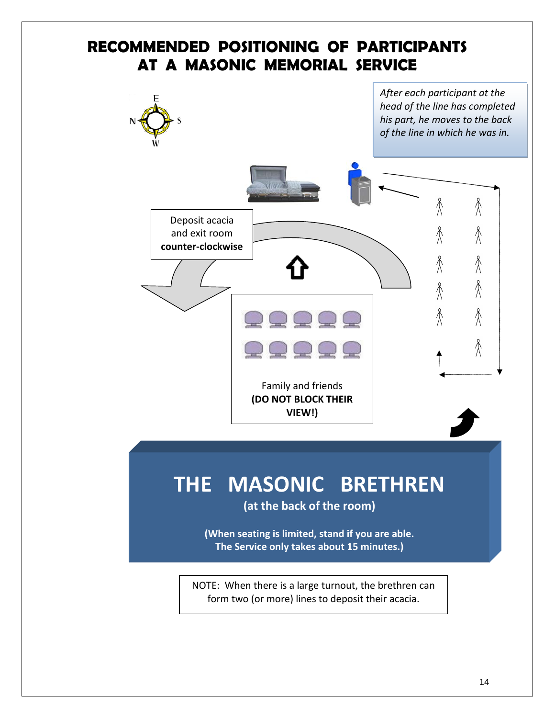## **RECOMMENDED POSITIONING OF PARTICIPANTS AT A MASONIC MEMORIAL SERVICE**



NOTE: When there is a large turnout, the brethren can form two (or more) lines to deposit their acacia.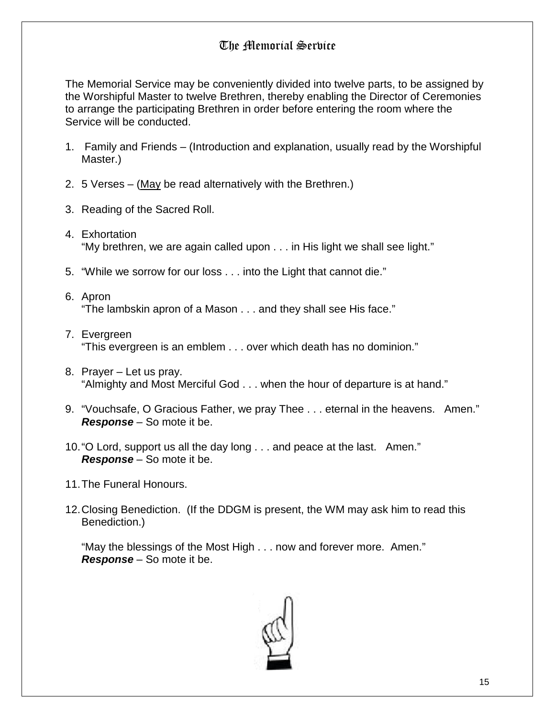### The Memorial Service

The Memorial Service may be conveniently divided into twelve parts, to be assigned by the Worshipful Master to twelve Brethren, thereby enabling the Director of Ceremonies to arrange the participating Brethren in order before entering the room where the Service will be conducted.

- 1. Family and Friends (Introduction and explanation, usually read by the Worshipful Master.)
- 2. 5 Verses (May be read alternatively with the Brethren.)
- 3. Reading of the Sacred Roll.
- 4. Exhortation "My brethren, we are again called upon . . . in His light we shall see light."
- 5. "While we sorrow for our loss . . . into the Light that cannot die."
- 6. Apron "The lambskin apron of a Mason . . . and they shall see His face."
- 7. Evergreen "This evergreen is an emblem . . . over which death has no dominion."
- 8. Prayer Let us pray. "Almighty and Most Merciful God . . . when the hour of departure is at hand."
- 9. "Vouchsafe, O Gracious Father, we pray Thee . . . eternal in the heavens. Amen." *Response* – So mote it be.
- 10."O Lord, support us all the day long . . . and peace at the last. Amen." *Response* – So mote it be.
- 11.The Funeral Honours.
- 12.Closing Benediction. (If the DDGM is present, the WM may ask him to read this Benediction.)

"May the blessings of the Most High . . . now and forever more. Amen." *Response* – So mote it be.

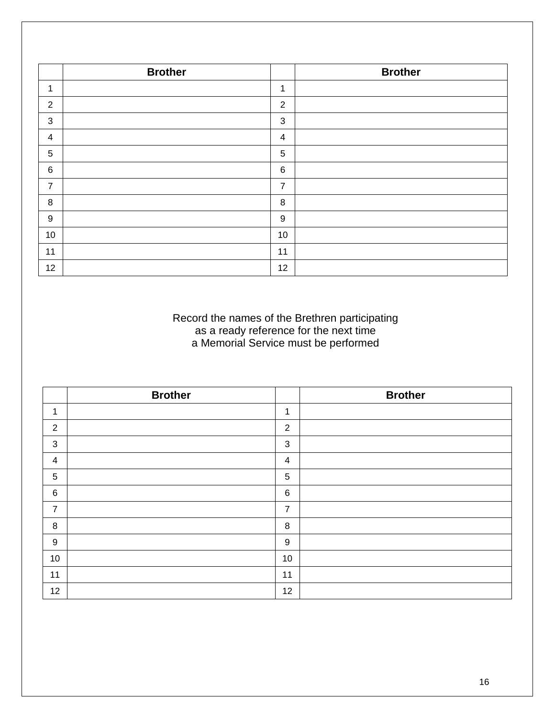|                  | <b>Brother</b> |                | <b>Brother</b> |
|------------------|----------------|----------------|----------------|
| 1                |                | $\mathbf{1}$   |                |
| $\overline{2}$   |                | 2              |                |
| $\mathbf{3}$     |                | 3              |                |
| $\overline{4}$   |                | $\overline{4}$ |                |
| $\sqrt{5}$       |                | 5              |                |
| $\,6$            |                | 6              |                |
| $\overline{7}$   |                | $\overline{7}$ |                |
| $\,8\,$          |                | 8              |                |
| $\boldsymbol{9}$ |                | 9              |                |
| 10               |                | 10             |                |
| 11               |                | 11             |                |
| 12               |                | 12             |                |

#### Record the names of the Brethren participating as a ready reference for the next time a Memorial Service must be performed

|                 | <b>Brother</b> |                | <b>Brother</b> |
|-----------------|----------------|----------------|----------------|
| $\mathbf{1}$    |                | 1              |                |
| $\overline{2}$  |                | 2              |                |
| 3               |                | $\mathbf{3}$   |                |
| 4               |                | $\overline{4}$ |                |
| $\sqrt{5}$      |                | $\sqrt{5}$     |                |
| $6\phantom{1}6$ |                | 6              |                |
| $\overline{7}$  |                | $\overline{7}$ |                |
| $\, 8$          |                | 8              |                |
| 9               |                | 9              |                |
| $10$            |                | 10             |                |
| 11              |                | 11             |                |
| 12              |                | 12             |                |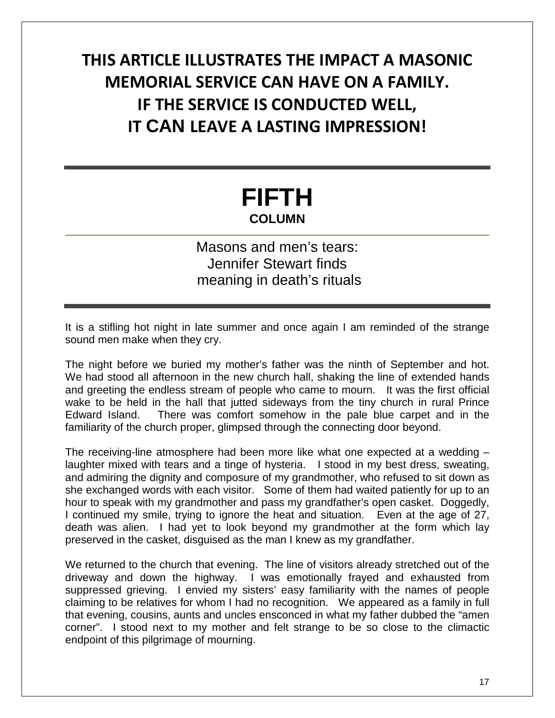## **THIS ARTICLE ILLUSTRATES THE IMPACT A MASONIC MEMORIAL SERVICE CAN HAVE ON A FAMILY. IF THE SERVICE IS CONDUCTED WELL, IT CAN LEAVE A LASTING IMPRESSION!**

## **FIFTH COLUMN**

## Masons and men's tears: Jennifer Stewart finds meaning in death's rituals

It is a stifling hot night in late summer and once again I am reminded of the strange sound men make when they cry.

The night before we buried my mother's father was the ninth of September and hot. We had stood all afternoon in the new church hall, shaking the line of extended hands and greeting the endless stream of people who came to mourn. It was the first official wake to be held in the hall that jutted sideways from the tiny church in rural Prince Edward Island. There was comfort somehow in the pale blue carpet and in the familiarity of the church proper, glimpsed through the connecting door beyond.

The receiving-line atmosphere had been more like what one expected at a wedding – laughter mixed with tears and a tinge of hysteria. I stood in my best dress, sweating, and admiring the dignity and composure of my grandmother, who refused to sit down as she exchanged words with each visitor. Some of them had waited patiently for up to an hour to speak with my grandmother and pass my grandfather's open casket. Doggedly, I continued my smile, trying to ignore the heat and situation. Even at the age of 27, death was alien. I had yet to look beyond my grandmother at the form which lay preserved in the casket, disguised as the man I knew as my grandfather.

We returned to the church that evening. The line of visitors already stretched out of the driveway and down the highway. I was emotionally frayed and exhausted from suppressed grieving. I envied my sisters' easy familiarity with the names of people claiming to be relatives for whom I had no recognition. We appeared as a family in full that evening, cousins, aunts and uncles ensconced in what my father dubbed the "amen corner". I stood next to my mother and felt strange to be so close to the climactic endpoint of this pilgrimage of mourning.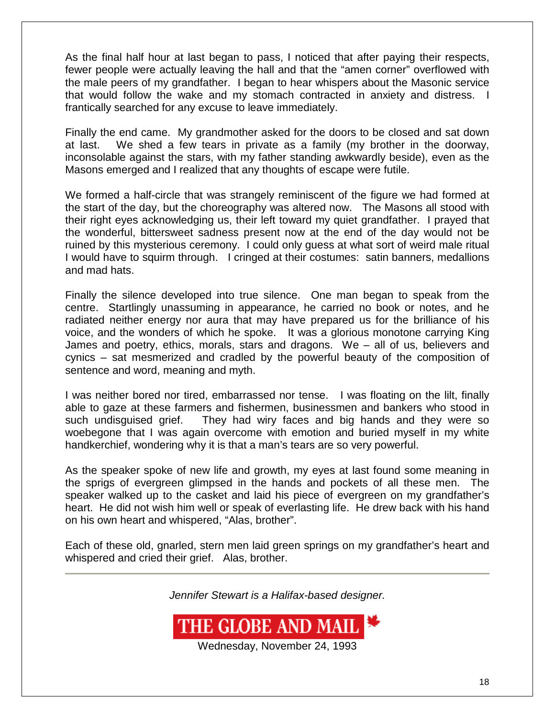As the final half hour at last began to pass, I noticed that after paying their respects, fewer people were actually leaving the hall and that the "amen corner" overflowed with the male peers of my grandfather. I began to hear whispers about the Masonic service that would follow the wake and my stomach contracted in anxiety and distress. I frantically searched for any excuse to leave immediately.

Finally the end came. My grandmother asked for the doors to be closed and sat down at last. We shed a few tears in private as a family (my brother in the doorway, inconsolable against the stars, with my father standing awkwardly beside), even as the Masons emerged and I realized that any thoughts of escape were futile.

We formed a half-circle that was strangely reminiscent of the figure we had formed at the start of the day, but the choreography was altered now. The Masons all stood with their right eyes acknowledging us, their left toward my quiet grandfather. I prayed that the wonderful, bittersweet sadness present now at the end of the day would not be ruined by this mysterious ceremony. I could only guess at what sort of weird male ritual I would have to squirm through. I cringed at their costumes: satin banners, medallions and mad hats.

Finally the silence developed into true silence. One man began to speak from the centre. Startlingly unassuming in appearance, he carried no book or notes, and he radiated neither energy nor aura that may have prepared us for the brilliance of his voice, and the wonders of which he spoke. It was a glorious monotone carrying King James and poetry, ethics, morals, stars and dragons. We – all of us, believers and cynics – sat mesmerized and cradled by the powerful beauty of the composition of sentence and word, meaning and myth.

I was neither bored nor tired, embarrassed nor tense. I was floating on the lilt, finally able to gaze at these farmers and fishermen, businessmen and bankers who stood in such undisguised grief. They had wiry faces and big hands and they were so woebegone that I was again overcome with emotion and buried myself in my white handkerchief, wondering why it is that a man's tears are so very powerful.

As the speaker spoke of new life and growth, my eyes at last found some meaning in the sprigs of evergreen glimpsed in the hands and pockets of all these men. The speaker walked up to the casket and laid his piece of evergreen on my grandfather's heart. He did not wish him well or speak of everlasting life. He drew back with his hand on his own heart and whispered, "Alas, brother".

Each of these old, gnarled, stern men laid green springs on my grandfather's heart and whispered and cried their grief. Alas, brother.

*Jennifer Stewart is a Halifax-based designer.*



Wednesday, November 24, 1993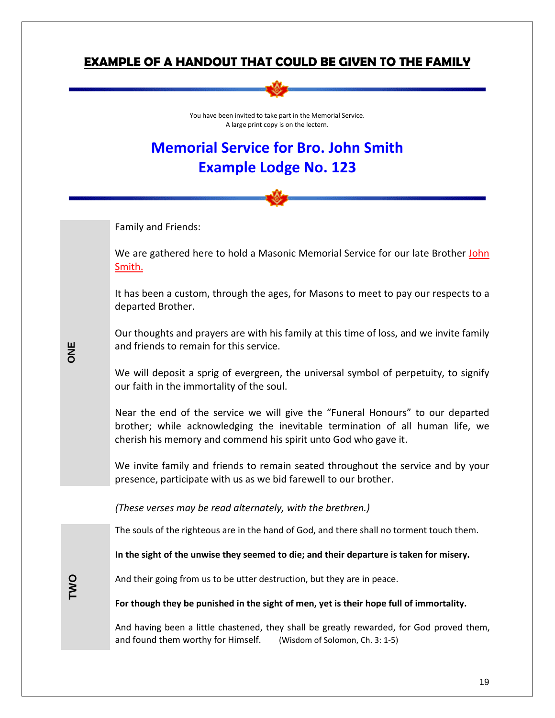#### **EXAMPLE OF A HANDOUT THAT COULD BE GIVEN TO THE FAMILY**



You have been invited to take part in the Memorial Service. A large print copy is on the lectern.

## **Memorial Service for Bro. John Smith Example Lodge No. 123**

Family and Friends:

We are gathered here to hold a Masonic Memorial Service for our late Brother John Smith.

It has been a custom, through the ages, for Masons to meet to pay our respects to a departed Brother.

Our thoughts and prayers are with his family at this time of loss, and we invite family and friends to remain for this service.

We will deposit a sprig of evergreen, the universal symbol of perpetuity, to signify our faith in the immortality of the soul.

Near the end of the service we will give the "Funeral Honours" to our departed brother; while acknowledging the inevitable termination of all human life, we cherish his memory and commend his spirit unto God who gave it.

We invite family and friends to remain seated throughout the service and by your presence, participate with us as we bid farewell to our brother.

*(These verses may be read alternately, with the brethren.)*

The souls of the righteous are in the hand of God, and there shall no torment touch them.

**In the sight of the unwise they seemed to die; and their departure is taken for misery.** 

And their going from us to be utter destruction, but they are in peace.

**For though they be punished in the sight of men, yet is their hope full of immortality.** 

And having been a little chastened, they shall be greatly rewarded, for God proved them, and found them worthy for Himself.(Wisdom of Solomon, Ch. 3: 1-5)

**ONE**

**TWO**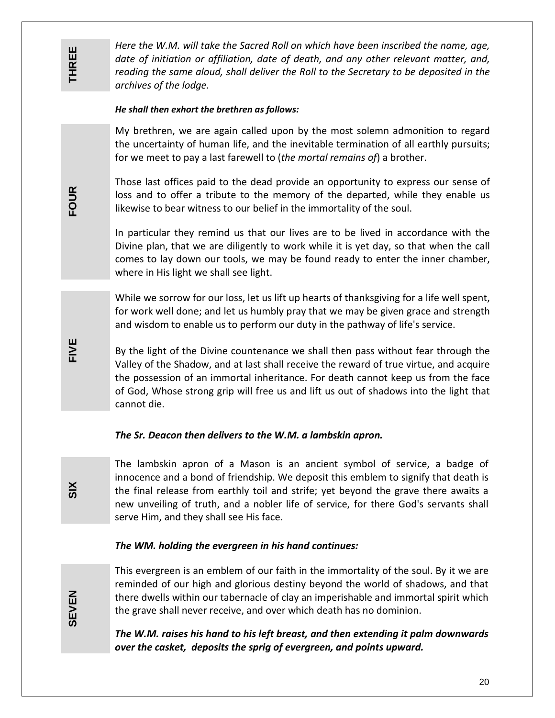**FOUR**

**FIVE**

*Here the W.M. will take the Sacred Roll on which have been inscribed the name, age, date of initiation or affiliation, date of death, and any other relevant matter, and, reading the same aloud, shall deliver the Roll to the Secretary to be deposited in the archives of the lodge.*

#### *He shall then exhort the brethren as follows:*

My brethren, we are again called upon by the most solemn admonition to regard the uncertainty of human life, and the inevitable termination of all earthly pursuits; for we meet to pay a last farewell to (*the mortal remains of*) a brother.

Those last offices paid to the dead provide an opportunity to express our sense of loss and to offer a tribute to the memory of the departed, while they enable us likewise to bear witness to our belief in the immortality of the soul.

In particular they remind us that our lives are to be lived in accordance with the Divine plan, that we are diligently to work while it is yet day, so that when the call comes to lay down our tools, we may be found ready to enter the inner chamber, where in His light we shall see light.

While we sorrow for our loss, let us lift up hearts of thanksgiving for a life well spent, for work well done; and let us humbly pray that we may be given grace and strength and wisdom to enable us to perform our duty in the pathway of life's service.

By the light of the Divine countenance we shall then pass without fear through the Valley of the Shadow, and at last shall receive the reward of true virtue, and acquire the possession of an immortal inheritance. For death cannot keep us from the face of God, Whose strong grip will free us and lift us out of shadows into the light that cannot die.

#### *The Sr. Deacon then delivers to the W.M. a lambskin apron.*

The lambskin apron of a Mason is an ancient symbol of service, a badge of innocence and a bond of friendship. We deposit this emblem to signify that death is the final release from earthly toil and strife; yet beyond the grave there awaits a new unveiling of truth, and a nobler life of service, for there God's servants shall serve Him, and they shall see His face.

#### *The WM. holding the evergreen in his hand continues:*

**SEVEN**

**SIX**

This evergreen is an emblem of our faith in the immortality of the soul. By it we are reminded of our high and glorious destiny beyond the world of shadows, and that there dwells within our tabernacle of clay an imperishable and immortal spirit which the grave shall never receive, and over which death has no dominion.

*The W.M. raises his hand to his left breast, and then extending it palm downwards over the casket, deposits the sprig of evergreen, and points upward.*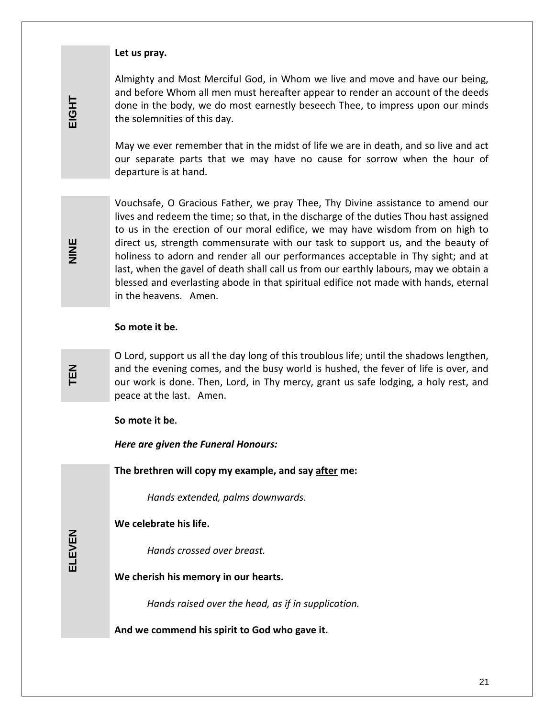#### **Let us pray.**

Almighty and Most Merciful God, in Whom we live and move and have our being, and before Whom all men must hereafter appear to render an account of the deeds done in the body, we do most earnestly beseech Thee, to impress upon our minds the solemnities of this day.

May we ever remember that in the midst of life we are in death, and so live and act our separate parts that we may have no cause for sorrow when the hour of departure is at hand.

Vouchsafe, O Gracious Father, we pray Thee, Thy Divine assistance to amend our lives and redeem the time; so that, in the discharge of the duties Thou hast assigned to us in the erection of our moral edifice, we may have wisdom from on high to direct us, strength commensurate with our task to support us, and the beauty of holiness to adorn and render all our performances acceptable in Thy sight; and at last, when the gavel of death shall call us from our earthly labours, may we obtain a blessed and everlasting abode in that spiritual edifice not made with hands, eternal in the heavens. Amen.

#### **So mote it be.**

O Lord, support us all the day long of this troublous life; until the shadows lengthen, and the evening comes, and the busy world is hushed, the fever of life is over, and our work is done. Then, Lord, in Thy mercy, grant us safe lodging, a holy rest, and peace at the last. Amen.

#### **So mote it be.**

*Here are given the Funeral Honours:*

**The brethren will copy my example, and say after me:**

*Hands extended, palms downwards.*

**We celebrate his life.**

*Hands crossed over breast.*

**We cherish his memory in our hearts.**

*Hands raised over the head, as if in supplication.*

**And we commend his spirit to God who gave it.**

**ELEVEN**

**TEN**

**NINE**

**EIGHT**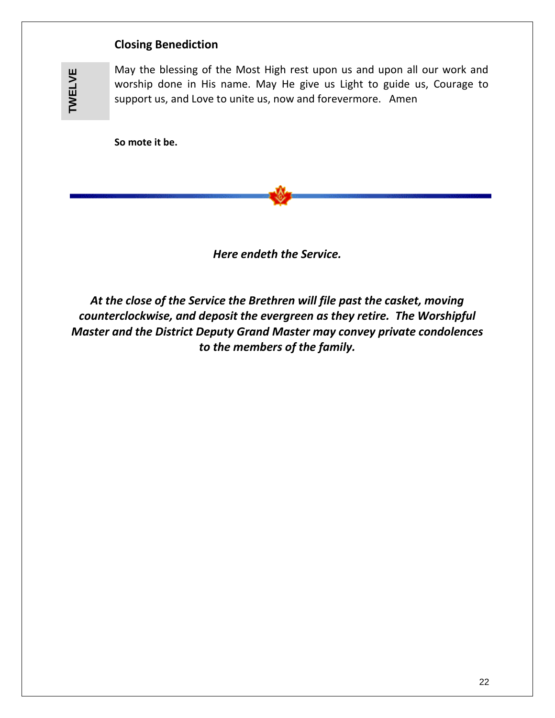#### **Closing Benediction**

**TWELVE TWELVE**

May the blessing of the Most High rest upon us and upon all our work and worship done in His name. May He give us Light to guide us, Courage to support us, and Love to unite us, now and forevermore. Amen

**So mote it be.**

*Here endeth the Service.* 

*At the close of the Service the Brethren will file past the casket, moving counterclockwise, and deposit the evergreen as they retire. The Worshipful Master and the District Deputy Grand Master may convey private condolences to the members of the family.*